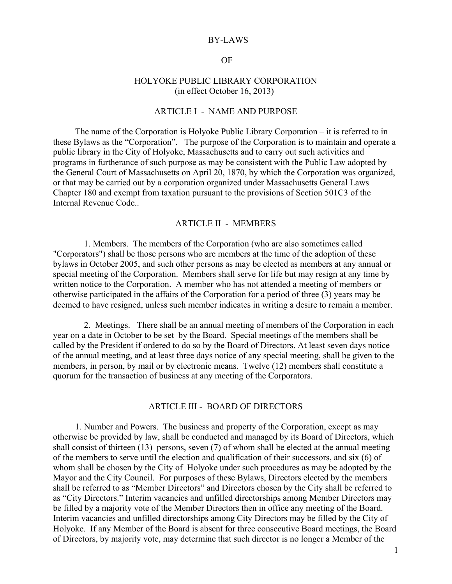### BY-LAWS

## OF

## HOLYOKE PUBLIC LIBRARY CORPORATION (in effect October 16, 2013)

## ARTICLE I - NAME AND PURPOSE

 The name of the Corporation is Holyoke Public Library Corporation – it is referred to in these Bylaws as the "Corporation". The purpose of the Corporation is to maintain and operate a public library in the City of Holyoke, Massachusetts and to carry out such activities and programs in furtherance of such purpose as may be consistent with the Public Law adopted by the General Court of Massachusetts on April 20, 1870, by which the Corporation was organized, or that may be carried out by a corporation organized under Massachusetts General Laws Chapter 180 and exempt from taxation pursuant to the provisions of Section 501C3 of the Internal Revenue Code..

## ARTICLE II - MEMBERS

 1. Members. The members of the Corporation (who are also sometimes called "Corporators") shall be those persons who are members at the time of the adoption of these bylaws in October 2005, and such other persons as may be elected as members at any annual or special meeting of the Corporation. Members shall serve for life but may resign at any time by written notice to the Corporation. A member who has not attended a meeting of members or otherwise participated in the affairs of the Corporation for a period of three (3) years may be deemed to have resigned, unless such member indicates in writing a desire to remain a member.

 2. Meetings. There shall be an annual meeting of members of the Corporation in each year on a date in October to be set by the Board. Special meetings of the members shall be called by the President if ordered to do so by the Board of Directors. At least seven days notice of the annual meeting, and at least three days notice of any special meeting, shall be given to the members, in person, by mail or by electronic means. Twelve (12) members shall constitute a quorum for the transaction of business at any meeting of the Corporators.

## ARTICLE III - BOARD OF DIRECTORS

 1. Number and Powers. The business and property of the Corporation, except as may otherwise be provided by law, shall be conducted and managed by its Board of Directors, which shall consist of thirteen (13) persons, seven (7) of whom shall be elected at the annual meeting of the members to serve until the election and qualification of their successors, and six (6) of whom shall be chosen by the City of Holyoke under such procedures as may be adopted by the Mayor and the City Council. For purposes of these Bylaws, Directors elected by the members shall be referred to as "Member Directors" and Directors chosen by the City shall be referred to as "City Directors." Interim vacancies and unfilled directorships among Member Directors may be filled by a majority vote of the Member Directors then in office any meeting of the Board. Interim vacancies and unfilled directorships among City Directors may be filled by the City of Holyoke. If any Member of the Board is absent for three consecutive Board meetings, the Board of Directors, by majority vote, may determine that such director is no longer a Member of the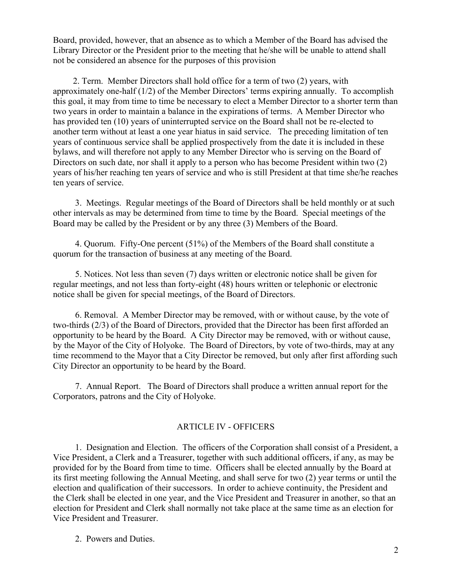Board, provided, however, that an absence as to which a Member of the Board has advised the Library Director or the President prior to the meeting that he/she will be unable to attend shall not be considered an absence for the purposes of this provision

 2. Term. Member Directors shall hold office for a term of two (2) years, with approximately one-half (1/2) of the Member Directors' terms expiring annually. To accomplish this goal, it may from time to time be necessary to elect a Member Director to a shorter term than two years in order to maintain a balance in the expirations of terms. A Member Director who has provided ten (10) years of uninterrupted service on the Board shall not be re-elected to another term without at least a one year hiatus in said service. The preceding limitation of ten years of continuous service shall be applied prospectively from the date it is included in these bylaws, and will therefore not apply to any Member Director who is serving on the Board of Directors on such date, nor shall it apply to a person who has become President within two (2) years of his/her reaching ten years of service and who is still President at that time she/he reaches ten years of service.

 3. Meetings. Regular meetings of the Board of Directors shall be held monthly or at such other intervals as may be determined from time to time by the Board. Special meetings of the Board may be called by the President or by any three (3) Members of the Board.

 4. Quorum. Fifty-One percent (51%) of the Members of the Board shall constitute a quorum for the transaction of business at any meeting of the Board.

 5. Notices. Not less than seven (7) days written or electronic notice shall be given for regular meetings, and not less than forty-eight (48) hours written or telephonic or electronic notice shall be given for special meetings, of the Board of Directors.

 6. Removal. A Member Director may be removed, with or without cause, by the vote of two-thirds (2/3) of the Board of Directors, provided that the Director has been first afforded an opportunity to be heard by the Board. A City Director may be removed, with or without cause, by the Mayor of the City of Holyoke. The Board of Directors, by vote of two-thirds, may at any time recommend to the Mayor that a City Director be removed, but only after first affording such City Director an opportunity to be heard by the Board.

 7. Annual Report. The Board of Directors shall produce a written annual report for the Corporators, patrons and the City of Holyoke.

# ARTICLE IV - OFFICERS

 1. Designation and Election. The officers of the Corporation shall consist of a President, a Vice President, a Clerk and a Treasurer, together with such additional officers, if any, as may be provided for by the Board from time to time. Officers shall be elected annually by the Board at its first meeting following the Annual Meeting, and shall serve for two (2) year terms or until the election and qualification of their successors. In order to achieve continuity, the President and the Clerk shall be elected in one year, and the Vice President and Treasurer in another, so that an election for President and Clerk shall normally not take place at the same time as an election for Vice President and Treasurer.

2. Powers and Duties.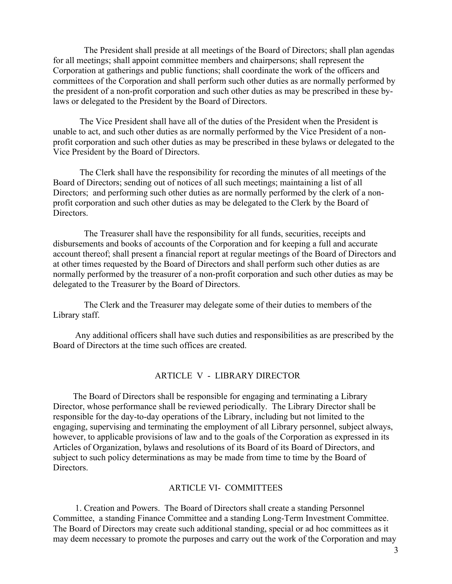The President shall preside at all meetings of the Board of Directors; shall plan agendas for all meetings; shall appoint committee members and chairpersons; shall represent the Corporation at gatherings and public functions; shall coordinate the work of the officers and committees of the Corporation and shall perform such other duties as are normally performed by the president of a non-profit corporation and such other duties as may be prescribed in these bylaws or delegated to the President by the Board of Directors.

 The Vice President shall have all of the duties of the President when the President is unable to act, and such other duties as are normally performed by the Vice President of a nonprofit corporation and such other duties as may be prescribed in these bylaws or delegated to the Vice President by the Board of Directors.

The Clerk shall have the responsibility for recording the minutes of all meetings of the Board of Directors; sending out of notices of all such meetings; maintaining a list of all Directors; and performing such other duties as are normally performed by the clerk of a nonprofit corporation and such other duties as may be delegated to the Clerk by the Board of Directors.

 The Treasurer shall have the responsibility for all funds, securities, receipts and disbursements and books of accounts of the Corporation and for keeping a full and accurate account thereof; shall present a financial report at regular meetings of the Board of Directors and at other times requested by the Board of Directors and shall perform such other duties as are normally performed by the treasurer of a non-profit corporation and such other duties as may be delegated to the Treasurer by the Board of Directors.

 The Clerk and the Treasurer may delegate some of their duties to members of the Library staff.

 Any additional officers shall have such duties and responsibilities as are prescribed by the Board of Directors at the time such offices are created.

#### ARTICLE V - LIBRARY DIRECTOR

 The Board of Directors shall be responsible for engaging and terminating a Library Director, whose performance shall be reviewed periodically. The Library Director shall be responsible for the day-to-day operations of the Library, including but not limited to the engaging, supervising and terminating the employment of all Library personnel, subject always, however, to applicable provisions of law and to the goals of the Corporation as expressed in its Articles of Organization, bylaws and resolutions of its Board of its Board of Directors, and subject to such policy determinations as may be made from time to time by the Board of Directors.

# ARTICLE VI- COMMITTEES

 1. Creation and Powers. The Board of Directors shall create a standing Personnel Committee, a standing Finance Committee and a standing Long-Term Investment Committee. The Board of Directors may create such additional standing, special or ad hoc committees as it may deem necessary to promote the purposes and carry out the work of the Corporation and may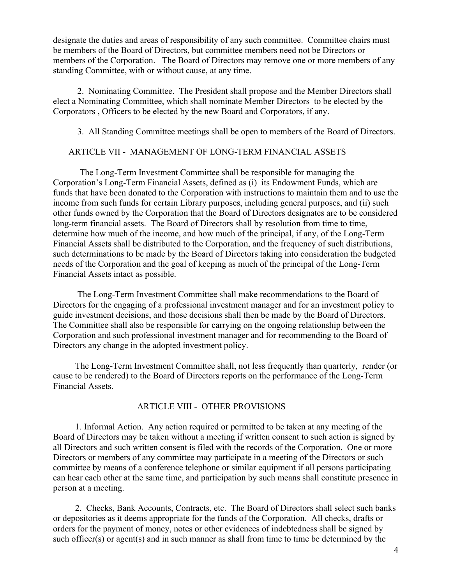designate the duties and areas of responsibility of any such committee. Committee chairs must be members of the Board of Directors, but committee members need not be Directors or members of the Corporation. The Board of Directors may remove one or more members of any standing Committee, with or without cause, at any time.

 2. Nominating Committee. The President shall propose and the Member Directors shall elect a Nominating Committee, which shall nominate Member Directors to be elected by the Corporators , Officers to be elected by the new Board and Corporators, if any.

3. All Standing Committee meetings shall be open to members of the Board of Directors.

# ARTICLE VII - MANAGEMENT OF LONG-TERM FINANCIAL ASSETS

 The Long-Term Investment Committee shall be responsible for managing the Corporation's Long-Term Financial Assets, defined as (i) its Endowment Funds, which are funds that have been donated to the Corporation with instructions to maintain them and to use the income from such funds for certain Library purposes, including general purposes, and (ii) such other funds owned by the Corporation that the Board of Directors designates are to be considered long-term financial assets. The Board of Directors shall by resolution from time to time, determine how much of the income, and how much of the principal, if any, of the Long-Term Financial Assets shall be distributed to the Corporation, and the frequency of such distributions, such determinations to be made by the Board of Directors taking into consideration the budgeted needs of the Corporation and the goal of keeping as much of the principal of the Long-Term Financial Assets intact as possible.

 The Long-Term Investment Committee shall make recommendations to the Board of Directors for the engaging of a professional investment manager and for an investment policy to guide investment decisions, and those decisions shall then be made by the Board of Directors. The Committee shall also be responsible for carrying on the ongoing relationship between the Corporation and such professional investment manager and for recommending to the Board of Directors any change in the adopted investment policy.

 The Long-Term Investment Committee shall, not less frequently than quarterly, render (or cause to be rendered) to the Board of Directors reports on the performance of the Long-Term Financial Assets.

## ARTICLE VIII - OTHER PROVISIONS

 1. Informal Action. Any action required or permitted to be taken at any meeting of the Board of Directors may be taken without a meeting if written consent to such action is signed by all Directors and such written consent is filed with the records of the Corporation. One or more Directors or members of any committee may participate in a meeting of the Directors or such committee by means of a conference telephone or similar equipment if all persons participating can hear each other at the same time, and participation by such means shall constitute presence in person at a meeting.

 2. Checks, Bank Accounts, Contracts, etc. The Board of Directors shall select such banks or depositories as it deems appropriate for the funds of the Corporation. All checks, drafts or orders for the payment of money, notes or other evidences of indebtedness shall be signed by such officer(s) or agent(s) and in such manner as shall from time to time be determined by the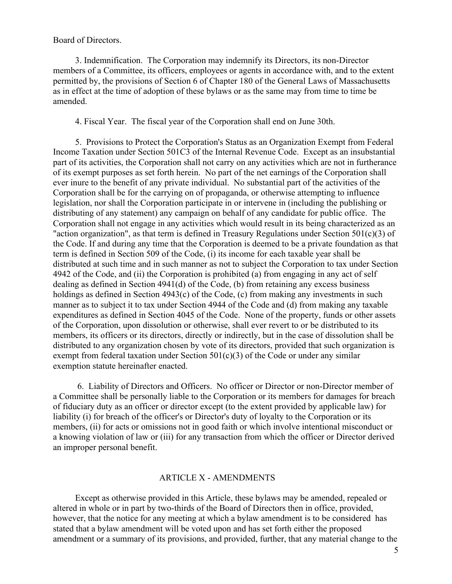Board of Directors.

 3. Indemnification. The Corporation may indemnify its Directors, its non-Director members of a Committee, its officers, employees or agents in accordance with, and to the extent permitted by, the provisions of Section 6 of Chapter 180 of the General Laws of Massachusetts as in effect at the time of adoption of these bylaws or as the same may from time to time be amended.

4. Fiscal Year. The fiscal year of the Corporation shall end on June 30th.

 5. Provisions to Protect the Corporation's Status as an Organization Exempt from Federal Income Taxation under Section 501C3 of the Internal Revenue Code. Except as an insubstantial part of its activities, the Corporation shall not carry on any activities which are not in furtherance of its exempt purposes as set forth herein. No part of the net earnings of the Corporation shall ever inure to the benefit of any private individual. No substantial part of the activities of the Corporation shall be for the carrying on of propaganda, or otherwise attempting to influence legislation, nor shall the Corporation participate in or intervene in (including the publishing or distributing of any statement) any campaign on behalf of any candidate for public office. The Corporation shall not engage in any activities which would result in its being characterized as an "action organization", as that term is defined in Treasury Regulations under Section  $501(c)(3)$  of the Code. If and during any time that the Corporation is deemed to be a private foundation as that term is defined in Section 509 of the Code, (i) its income for each taxable year shall be distributed at such time and in such manner as not to subject the Corporation to tax under Section 4942 of the Code, and (ii) the Corporation is prohibited (a) from engaging in any act of self dealing as defined in Section 4941(d) of the Code, (b) from retaining any excess business holdings as defined in Section 4943(c) of the Code, (c) from making any investments in such manner as to subject it to tax under Section 4944 of the Code and (d) from making any taxable expenditures as defined in Section 4045 of the Code. None of the property, funds or other assets of the Corporation, upon dissolution or otherwise, shall ever revert to or be distributed to its members, its officers or its directors, directly or indirectly, but in the case of dissolution shall be distributed to any organization chosen by vote of its directors, provided that such organization is exempt from federal taxation under Section  $501(c)(3)$  of the Code or under any similar exemption statute hereinafter enacted.

 6. Liability of Directors and Officers. No officer or Director or non-Director member of a Committee shall be personally liable to the Corporation or its members for damages for breach of fiduciary duty as an officer or director except (to the extent provided by applicable law) for liability (i) for breach of the officer's or Director's duty of loyalty to the Corporation or its members, (ii) for acts or omissions not in good faith or which involve intentional misconduct or a knowing violation of law or (iii) for any transaction from which the officer or Director derived an improper personal benefit.

## ARTICLE X - AMENDMENTS

 Except as otherwise provided in this Article, these bylaws may be amended, repealed or altered in whole or in part by two-thirds of the Board of Directors then in office, provided, however, that the notice for any meeting at which a bylaw amendment is to be considered has stated that a bylaw amendment will be voted upon and has set forth either the proposed amendment or a summary of its provisions, and provided, further, that any material change to the